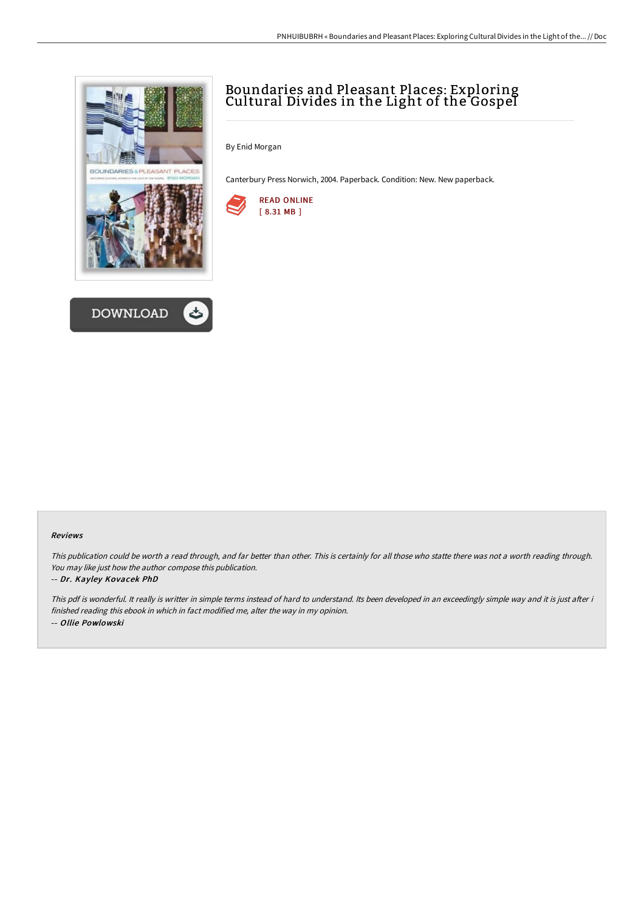



# Boundaries and Pleasant Places: Exploring Cultural Divides in the Light of the Gospel

By Enid Morgan

Canterbury Press Norwich, 2004. Paperback. Condition: New. New paperback.



#### Reviews

This publication could be worth <sup>a</sup> read through, and far better than other. This is certainly for all those who statte there was not <sup>a</sup> worth reading through. You may like just how the author compose this publication.

#### -- Dr. Kayley Kovacek PhD

This pdf is wonderful. It really is writter in simple terms instead of hard to understand. Its been developed in an exceedingly simple way and it is just after i finished reading this ebook in which in fact modified me, alter the way in my opinion. -- Ollie Powlowski